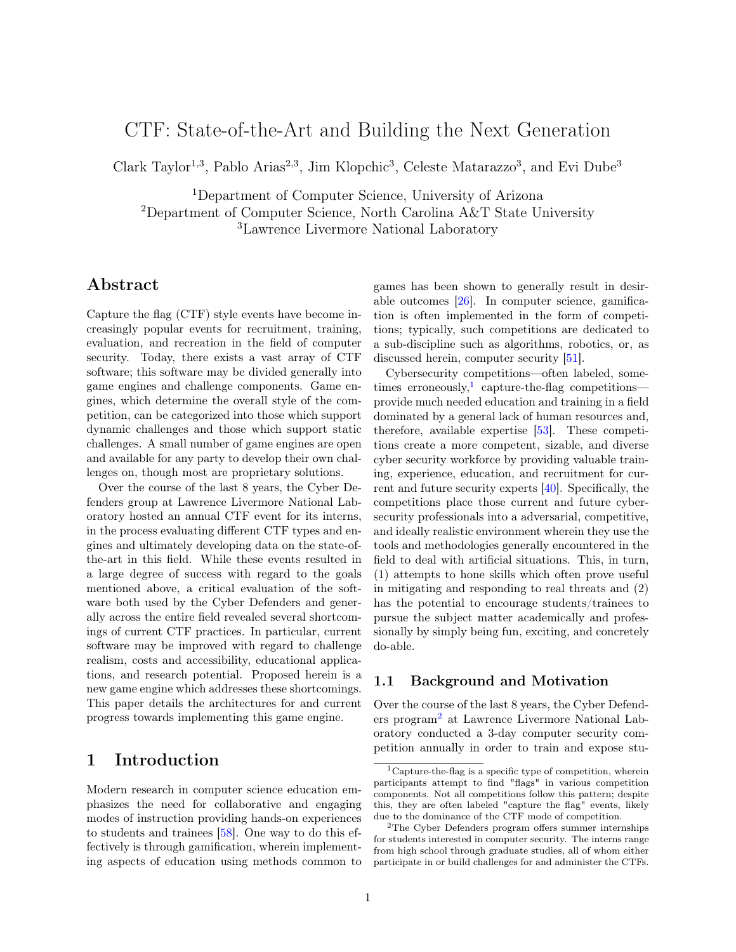# CTF: State-of-the-Art and Building the Next Generation

Clark Taylor<sup>1,3</sup>, Pablo Arias<sup>2,3</sup>, Jim Klopchic<sup>3</sup>, Celeste Matarazzo<sup>3</sup>, and Evi Dube<sup>3</sup>

<sup>1</sup>Department of Computer Science, University of Arizona <sup>2</sup>Department of Computer Science, North Carolina A&T State University <sup>3</sup>Lawrence Livermore National Laboratory

## Abstract

Capture the flag (CTF) style events have become increasingly popular events for recruitment, training, evaluation, and recreation in the field of computer security. Today, there exists a vast array of CTF software; this software may be divided generally into game engines and challenge components. Game engines, which determine the overall style of the competition, can be categorized into those which support dynamic challenges and those which support static challenges. A small number of game engines are open and available for any party to develop their own challenges on, though most are proprietary solutions.

Over the course of the last 8 years, the Cyber Defenders group at Lawrence Livermore National Laboratory hosted an annual CTF event for its interns, in the process evaluating different CTF types and engines and ultimately developing data on the state-ofthe-art in this field. While these events resulted in a large degree of success with regard to the goals mentioned above, a critical evaluation of the software both used by the Cyber Defenders and generally across the entire field revealed several shortcomings of current CTF practices. In particular, current software may be improved with regard to challenge realism, costs and accessibility, educational applications, and research potential. Proposed herein is a new game engine which addresses these shortcomings. This paper details the architectures for and current progress towards implementing this game engine.

## <span id="page-0-2"></span>1 Introduction

Modern research in computer science education emphasizes the need for collaborative and engaging modes of instruction providing hands-on experiences to students and trainees [\[58\]](#page-10-0). One way to do this effectively is through gamification, wherein implementing aspects of education using methods common to games has been shown to generally result in desirable outcomes [\[26\]](#page-9-0). In computer science, gamification is often implemented in the form of competitions; typically, such competitions are dedicated to a sub-discipline such as algorithms, robotics, or, as discussed herein, computer security [\[51\]](#page-10-1).

Cybersecurity competitions—often labeled, some-times erroneously,<sup>[1](#page-0-0)</sup> capture-the-flag competitions provide much needed education and training in a field dominated by a general lack of human resources and, therefore, available expertise [\[53\]](#page-10-2). These competitions create a more competent, sizable, and diverse cyber security workforce by providing valuable training, experience, education, and recruitment for current and future security experts [\[40\]](#page-10-3). Specifically, the competitions place those current and future cybersecurity professionals into a adversarial, competitive, and ideally realistic environment wherein they use the tools and methodologies generally encountered in the field to deal with artificial situations. This, in turn, (1) attempts to hone skills which often prove useful in mitigating and responding to real threats and (2) has the potential to encourage students/trainees to pursue the subject matter academically and professionally by simply being fun, exciting, and concretely do-able.

### 1.1 Background and Motivation

Over the course of the last 8 years, the Cyber Defenders program[2](#page-0-1) at Lawrence Livermore National Laboratory conducted a 3-day computer security competition annually in order to train and expose stu-

<span id="page-0-0"></span><sup>&</sup>lt;sup>1</sup>Capture-the-flag is a specific type of competition, wherein participants attempt to find "flags" in various competition components. Not all competitions follow this pattern; despite this, they are often labeled "capture the flag" events, likely due to the dominance of the CTF mode of competition.

<span id="page-0-1"></span><sup>2</sup>The Cyber Defenders program offers summer internships for students interested in computer security. The interns range from high school through graduate studies, all of whom either participate in or build challenges for and administer the CTFs.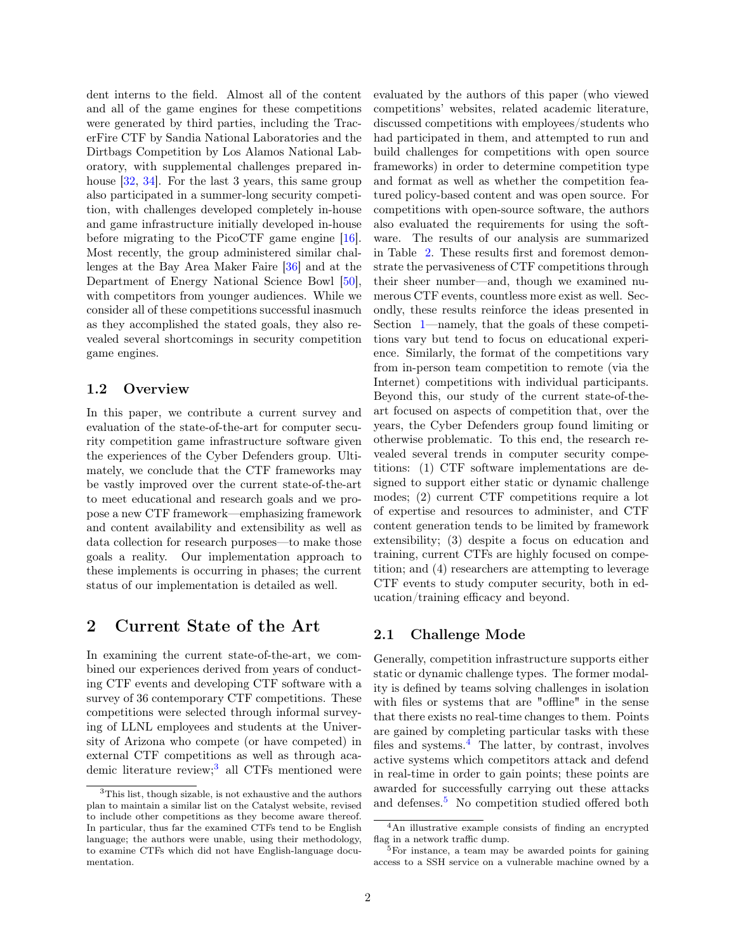dent interns to the field. Almost all of the content and all of the game engines for these competitions were generated by third parties, including the TracerFire CTF by Sandia National Laboratories and the Dirtbags Competition by Los Alamos National Laboratory, with supplemental challenges prepared inhouse [\[32,](#page-9-1) [34\]](#page-9-2). For the last 3 years, this same group also participated in a summer-long security competition, with challenges developed completely in-house and game infrastructure initially developed in-house before migrating to the PicoCTF game engine [\[16\]](#page-9-3). Most recently, the group administered similar challenges at the Bay Area Maker Faire [\[36\]](#page-9-4) and at the Department of Energy National Science Bowl [\[50\]](#page-10-4), with competitors from younger audiences. While we consider all of these competitions successful inasmuch as they accomplished the stated goals, they also revealed several shortcomings in security competition game engines.

#### 1.2 Overview

In this paper, we contribute a current survey and evaluation of the state-of-the-art for computer security competition game infrastructure software given the experiences of the Cyber Defenders group. Ultimately, we conclude that the CTF frameworks may be vastly improved over the current state-of-the-art to meet educational and research goals and we propose a new CTF framework—emphasizing framework and content availability and extensibility as well as data collection for research purposes—to make those goals a reality. Our implementation approach to these implements is occurring in phases; the current status of our implementation is detailed as well.

### <span id="page-1-1"></span>2 Current State of the Art

In examining the current state-of-the-art, we combined our experiences derived from years of conducting CTF events and developing CTF software with a survey of 36 contemporary CTF competitions. These competitions were selected through informal surveying of LLNL employees and students at the University of Arizona who compete (or have competed) in external CTF competitions as well as through aca-demic literature review;<sup>[3](#page-1-0)</sup> all CTFs mentioned were evaluated by the authors of this paper (who viewed competitions' websites, related academic literature, discussed competitions with employees/students who had participated in them, and attempted to run and build challenges for competitions with open source frameworks) in order to determine competition type and format as well as whether the competition featured policy-based content and was open source. For competitions with open-source software, the authors also evaluated the requirements for using the software. The results of our analysis are summarized in Table [2.](#page-1-1) These results first and foremost demonstrate the pervasiveness of CTF competitions through their sheer number—and, though we examined numerous CTF events, countless more exist as well. Secondly, these results reinforce the ideas presented in Section [1—](#page-0-2)namely, that the goals of these competitions vary but tend to focus on educational experience. Similarly, the format of the competitions vary from in-person team competition to remote (via the Internet) competitions with individual participants. Beyond this, our study of the current state-of-theart focused on aspects of competition that, over the years, the Cyber Defenders group found limiting or otherwise problematic. To this end, the research revealed several trends in computer security competitions: (1) CTF software implementations are designed to support either static or dynamic challenge modes; (2) current CTF competitions require a lot of expertise and resources to administer, and CTF content generation tends to be limited by framework extensibility; (3) despite a focus on education and training, current CTFs are highly focused on competition; and (4) researchers are attempting to leverage CTF events to study computer security, both in education/training efficacy and beyond.

#### 2.1 Challenge Mode

Generally, competition infrastructure supports either static or dynamic challenge types. The former modality is defined by teams solving challenges in isolation with files or systems that are "offline" in the sense that there exists no real-time changes to them. Points are gained by completing particular tasks with these files and systems. $4$  The latter, by contrast, involves active systems which competitors attack and defend in real-time in order to gain points; these points are awarded for successfully carrying out these attacks and defenses.<sup>[5](#page-1-3)</sup> No competition studied offered both

<span id="page-1-0"></span><sup>&</sup>lt;sup>3</sup>This list, though sizable, is not exhaustive and the authors plan to maintain a similar list on the Catalyst website, revised to include other competitions as they become aware thereof. In particular, thus far the examined CTFs tend to be English language; the authors were unable, using their methodology, to examine CTFs which did not have English-language documentation.

<span id="page-1-2"></span><sup>4</sup>An illustrative example consists of finding an encrypted flag in a network traffic dump.

<span id="page-1-3"></span><sup>&</sup>lt;sup>5</sup>For instance, a team may be awarded points for gaining access to a SSH service on a vulnerable machine owned by a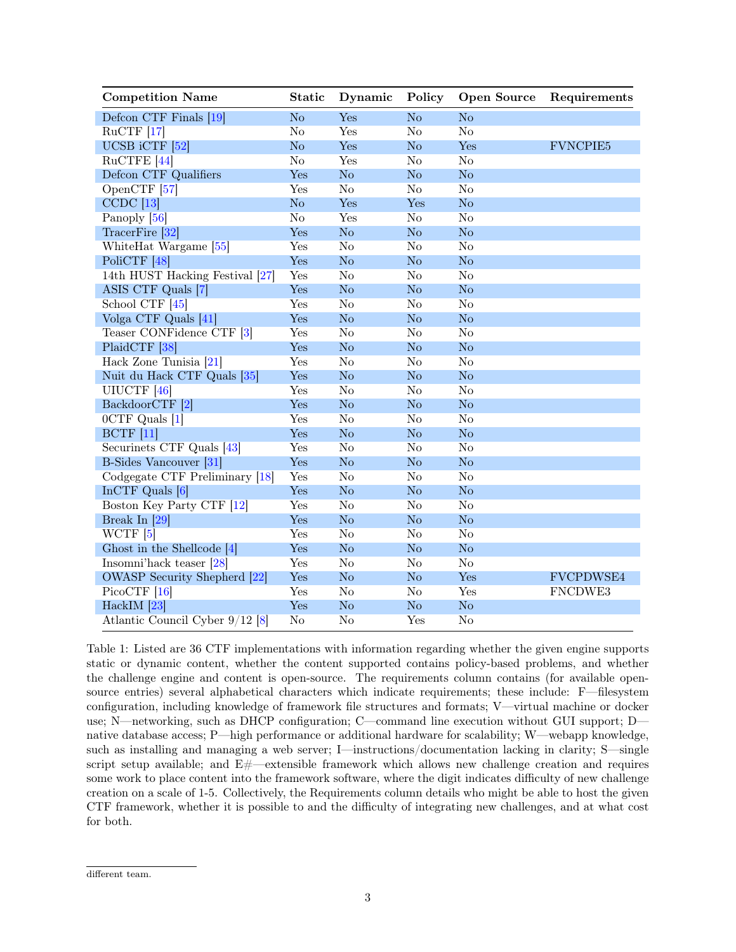| <b>Competition Name</b>             | <b>Static</b>  | Dynamic                | Policy                 | <b>Open Source</b>     | Requirements     |
|-------------------------------------|----------------|------------------------|------------------------|------------------------|------------------|
| Defcon CTF Finals [19]              | N <sub>o</sub> | Yes                    | N <sub>o</sub>         | N <sub>o</sub>         |                  |
| $RuCTF$ [17]                        | $\rm No$       | Yes                    | N <sub>o</sub>         | No                     |                  |
| UCSB iCTF [52]                      | No             | Yes                    | N <sub>o</sub>         | Yes                    | <b>FVNCPIE5</b>  |
| RuCTFE <sup>[44]</sup>              | No             | Yes                    | No                     | No                     |                  |
| Defcon CTF Qualifiers               | Yes            | No                     | No                     | No                     |                  |
| OpenCTF [57]                        | Yes            | No                     | N <sub>o</sub>         | $\rm No$               |                  |
| $CCDC$ [13]                         | N <sub>o</sub> | Yes                    | Yes                    | N <sub>o</sub>         |                  |
| Panoply [56]                        | $\rm No$       | Yes                    | N <sub>o</sub>         | $\rm No$               |                  |
| TracerFire [32]                     | Yes            | No                     | N <sub>o</sub>         | N <sub>o</sub>         |                  |
| WhiteHat Wargame [55]               | Yes            | N <sub>o</sub>         | N <sub>o</sub>         | N <sub>o</sub>         |                  |
| PoliCTF [48]                        | Yes            | No                     | No                     | No                     |                  |
| 14th HUST Hacking Festival [27]     | Yes            | $\rm No$               | $\overline{\text{No}}$ | No                     |                  |
| ASIS CTF Quals [7]                  | Yes            | $\rm No$               | N <sub>o</sub>         | $\rm No$               |                  |
| School CTF [45]                     | Yes            | No                     | $\rm No$               | $\rm No$               |                  |
| Volga CTF Quals [41]                | Yes            | No                     | No                     | No                     |                  |
| Teaser CONFidence CTF [3]           | Yes            | $\overline{\text{No}}$ | $\overline{\text{No}}$ | $\overline{\text{No}}$ |                  |
| PlaidCTF [38]                       | Yes            | No                     | No                     | No                     |                  |
| Hack Zone Tunisia [21]              | Yes            | $\overline{\text{No}}$ | $\overline{\text{No}}$ | $\overline{\text{No}}$ |                  |
| Nuit du Hack CTF Quals [35]         | Yes            | $\rm No$               | No                     | No                     |                  |
| UIUCTF <sup>[46]</sup>              | Yes            | No                     | No                     | $\rm No$               |                  |
| BackdoorCTF [2]                     | Yes            | No                     | No                     | No                     |                  |
| 0CTF Quals [1]                      | Yes            | No                     | $\rm No$               | $\rm No$               |                  |
| <b>BCTF</b> [11]                    | Yes            | No                     | No                     | No                     |                  |
| Securinets CTF Quals [43]           | Yes            | N <sub>o</sub>         | N <sub>o</sub>         | N <sub>o</sub>         |                  |
| <b>B-Sides Vancouver</b> [31]       | Yes            | No                     | No                     | No                     |                  |
| Codgegate CTF Preliminary [18]      | Yes            | N <sub>o</sub>         | N <sub>o</sub>         | No                     |                  |
| In $CTF$ Quals [6]                  | Yes            | No                     | N <sub>o</sub>         | N <sub>o</sub>         |                  |
| Boston Key Party CTF [12]           | Yes            | N <sub>o</sub>         | $\overline{\text{No}}$ | $\overline{\text{No}}$ |                  |
| Break In $[29]$                     | Yes            | No                     | No                     | $\rm No$               |                  |
| WCTF <sup>[5]</sup>                 | Yes            | $\rm No$               | N <sub>o</sub>         | N <sub>o</sub>         |                  |
| Ghost in the Shellcode [4]          | Yes            | $\rm No$               | No                     | No                     |                  |
| Insomni'hack teaser [28]            | Yes            | N <sub>o</sub>         | N <sub>o</sub>         | N <sub>o</sub>         |                  |
| <b>OWASP</b> Security Shepherd [22] | Yes            | No                     | N <sub>o</sub>         | Yes                    | <b>FVCPDWSE4</b> |
| $PicocTF$ [16]                      | Yes            | $\overline{\text{No}}$ | N <sub>o</sub>         | Yes                    | FNCDWE3          |
| HackIM $[23]$                       | Yes            | No                     | No                     | No                     |                  |
| Atlantic Council Cyber 9/12 [8]     | $\rm No$       | $\overline{\text{No}}$ | Yes                    | N <sub>o</sub>         |                  |

Table 1: Listed are 36 CTF implementations with information regarding whether the given engine supports static or dynamic content, whether the content supported contains policy-based problems, and whether the challenge engine and content is open-source. The requirements column contains (for available opensource entries) several alphabetical characters which indicate requirements; these include: F—filesystem configuration, including knowledge of framework file structures and formats; V—virtual machine or docker use; N—networking, such as DHCP configuration; C—command line execution without GUI support; D native database access; P—high performance or additional hardware for scalability; W—webapp knowledge, such as installing and managing a web server; I—instructions/documentation lacking in clarity; S—single script setup available; and  $E\#$ —extensible framework which allows new challenge creation and requires some work to place content into the framework software, where the digit indicates difficulty of new challenge creation on a scale of 1-5. Collectively, the Requirements column details who might be able to host the given CTF framework, whether it is possible to and the difficulty of integrating new challenges, and at what cost for both.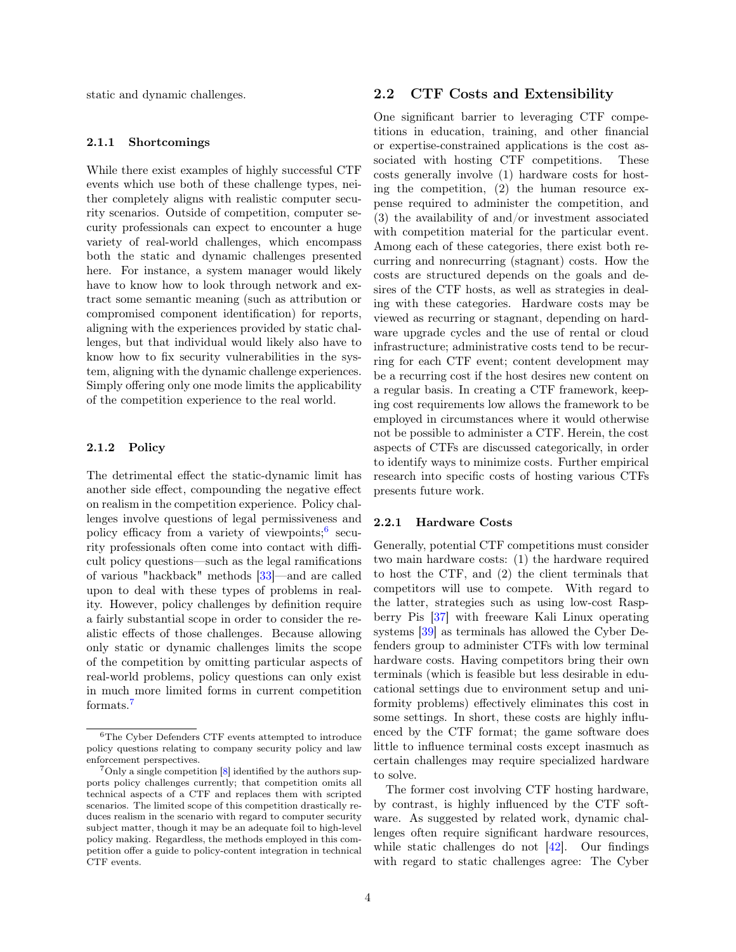static and dynamic challenges.

#### 2.1.1 Shortcomings

While there exist examples of highly successful CTF events which use both of these challenge types, neither completely aligns with realistic computer security scenarios. Outside of competition, computer security professionals can expect to encounter a huge variety of real-world challenges, which encompass both the static and dynamic challenges presented here. For instance, a system manager would likely have to know how to look through network and extract some semantic meaning (such as attribution or compromised component identification) for reports, aligning with the experiences provided by static challenges, but that individual would likely also have to know how to fix security vulnerabilities in the system, aligning with the dynamic challenge experiences. Simply offering only one mode limits the applicability of the competition experience to the real world.

#### <span id="page-3-3"></span>2.1.2 Policy

The detrimental effect the static-dynamic limit has another side effect, compounding the negative effect on realism in the competition experience. Policy challenges involve questions of legal permissiveness and policy efficacy from a variety of viewpoints;<sup>[6](#page-3-0)</sup> security professionals often come into contact with difficult policy questions—such as the legal ramifications of various "hackback" methods [\[33\]](#page-9-27)—and are called upon to deal with these types of problems in reality. However, policy challenges by definition require a fairly substantial scope in order to consider the realistic effects of those challenges. Because allowing only static or dynamic challenges limits the scope of the competition by omitting particular aspects of real-world problems, policy questions can only exist in much more limited forms in current competition formats.[7](#page-3-1)

#### 2.2 CTF Costs and Extensibility

One significant barrier to leveraging CTF competitions in education, training, and other financial or expertise-constrained applications is the cost associated with hosting CTF competitions. These costs generally involve (1) hardware costs for hosting the competition, (2) the human resource expense required to administer the competition, and (3) the availability of and/or investment associated with competition material for the particular event. Among each of these categories, there exist both recurring and nonrecurring (stagnant) costs. How the costs are structured depends on the goals and desires of the CTF hosts, as well as strategies in dealing with these categories. Hardware costs may be viewed as recurring or stagnant, depending on hardware upgrade cycles and the use of rental or cloud infrastructure; administrative costs tend to be recurring for each CTF event; content development may be a recurring cost if the host desires new content on a regular basis. In creating a CTF framework, keeping cost requirements low allows the framework to be employed in circumstances where it would otherwise not be possible to administer a CTF. Herein, the cost aspects of CTFs are discussed categorically, in order to identify ways to minimize costs. Further empirical research into specific costs of hosting various CTFs presents future work.

#### <span id="page-3-2"></span>2.2.1 Hardware Costs

Generally, potential CTF competitions must consider two main hardware costs: (1) the hardware required to host the CTF, and (2) the client terminals that competitors will use to compete. With regard to the latter, strategies such as using low-cost Raspberry Pis [\[37\]](#page-9-28) with freeware Kali Linux operating systems [\[39\]](#page-10-16) as terminals has allowed the Cyber Defenders group to administer CTFs with low terminal hardware costs. Having competitors bring their own terminals (which is feasible but less desirable in educational settings due to environment setup and uniformity problems) effectively eliminates this cost in some settings. In short, these costs are highly influenced by the CTF format; the game software does little to influence terminal costs except inasmuch as certain challenges may require specialized hardware to solve.

The former cost involving CTF hosting hardware, by contrast, is highly influenced by the CTF software. As suggested by related work, dynamic challenges often require significant hardware resources, while static challenges do not [\[42\]](#page-10-17). Our findings with regard to static challenges agree: The Cyber

<span id="page-3-0"></span><sup>6</sup>The Cyber Defenders CTF events attempted to introduce policy questions relating to company security policy and law enforcement perspectives.

<span id="page-3-1"></span><sup>7</sup>Only a single competition [\[8\]](#page-9-26) identified by the authors supports policy challenges currently; that competition omits all technical aspects of a CTF and replaces them with scripted scenarios. The limited scope of this competition drastically reduces realism in the scenario with regard to computer security subject matter, though it may be an adequate foil to high-level policy making. Regardless, the methods employed in this competition offer a guide to policy-content integration in technical CTF events.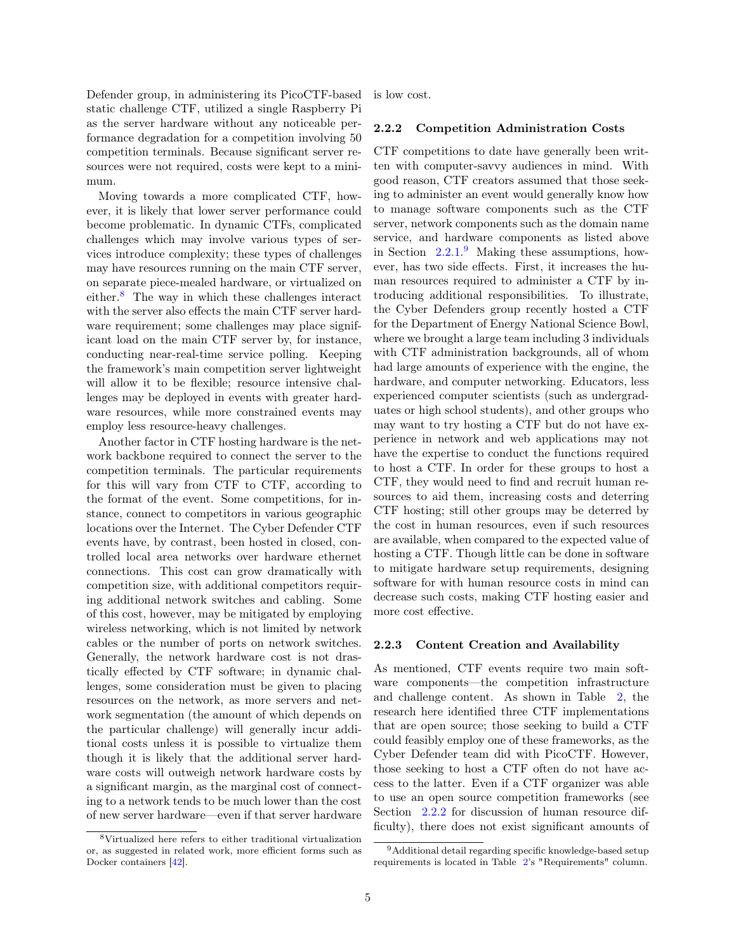Defender group, in administering its PicoCTF-based static challenge CTF, utilized a single Raspberry Pi as the server hardware without any noticeable performance degradation for a competition involving 50 competition terminals. Because significant server resources were not required, costs were kept to a minimum.

Moving towards a more complicated CTF, however, it is likely that lower server performance could become problematic. In dynamic CTFs, complicated challenges which may involve various types of services introduce complexity; these types of challenges may have resources running on the main CTF server, on separate piece-mealed hardware, or virtualized on either.[8](#page-4-0) The way in which these challenges interact with the server also effects the main CTF server hardware requirement; some challenges may place significant load on the main CTF server by, for instance, conducting near-real-time service polling. Keeping the framework's main competition server lightweight will allow it to be flexible; resource intensive challenges may be deployed in events with greater hardware resources, while more constrained events may employ less resource-heavy challenges.

Another factor in CTF hosting hardware is the network backbone required to connect the server to the competition terminals. The particular requirements for this will vary from CTF to CTF, according to the format of the event. Some competitions, for instance, connect to competitors in various geographic locations over the Internet. The Cyber Defender CTF events have, by contrast, been hosted in closed, controlled local area networks over hardware ethernet connections. This cost can grow dramatically with competition size, with additional competitors requiring additional network switches and cabling. Some of this cost, however, may be mitigated by employing wireless networking, which is not limited by network cables or the number of ports on network switches. Generally, the network hardware cost is not drastically effected by CTF software; in dynamic challenges, some consideration must be given to placing resources on the network, as more servers and network segmentation (the amount of which depends on the particular challenge) will generally incur additional costs unless it is possible to virtualize them though it is likely that the additional server hardware costs will outweigh network hardware costs by a significant margin, as the marginal cost of connecting to a network tends to be much lower than the cost of new server hardware—even if that server hardware

is low cost.

#### <span id="page-4-2"></span>2.2.2 Competition Administration Costs

CTF competitions to date have generally been written with computer-savvy audiences in mind. With good reason, CTF creators assumed that those seeking to administer an event would generally know how to manage software components such as the CTF server, network components such as the domain name service, and hardware components as listed above in Section  $2.2.1$ <sup>[9](#page-4-1)</sup> Making these assumptions, however, has two side effects. First, it increases the human resources required to administer a CTF by introducing additional responsibilities. To illustrate, the Cyber Defenders group recently hosted a CTF for the Department of Energy National Science Bowl, where we brought a large team including 3 individuals with CTF administration backgrounds, all of whom had large amounts of experience with the engine, the hardware, and computer networking. Educators, less experienced computer scientists (such as undergraduates or high school students), and other groups who may want to try hosting a CTF but do not have experience in network and web applications may not have the expertise to conduct the functions required to host a CTF. In order for these groups to host a CTF, they would need to find and recruit human resources to aid them, increasing costs and deterring CTF hosting; still other groups may be deterred by the cost in human resources, even if such resources are available, when compared to the expected value of hosting a CTF. Though little can be done in software to mitigate hardware setup requirements, designing software for with human resource costs in mind can decrease such costs, making CTF hosting easier and more cost effective.

#### 2.2.3 Content Creation and Availability

As mentioned, CTF events require two main software components—the competition infrastructure and challenge content. As shown in Table [2,](#page-1-1) the research here identified three CTF implementations that are open source; those seeking to build a CTF could feasibly employ one of these frameworks, as the Cyber Defender team did with PicoCTF. However, those seeking to host a CTF often do not have access to the latter. Even if a CTF organizer was able to use an open source competition frameworks (see Section [2.2.2](#page-4-2) for discussion of human resource difficulty), there does not exist significant amounts of

<span id="page-4-0"></span><sup>8</sup>Virtualized here refers to either traditional virtualization or, as suggested in related work, more efficient forms such as Docker containers [\[42\]](#page-10-17).

<span id="page-4-1"></span><sup>9</sup>Additional detail regarding specific knowledge-based setup requirements is located in Table [2'](#page-1-1)s "Requirements" column.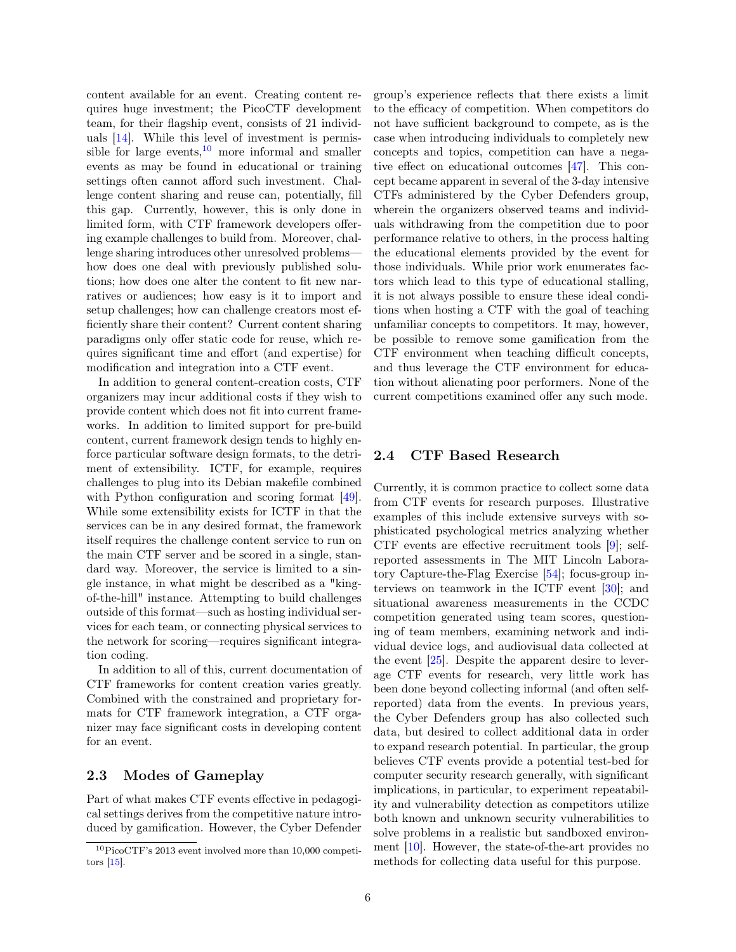content available for an event. Creating content requires huge investment; the PicoCTF development team, for their flagship event, consists of 21 individuals [\[14\]](#page-9-29). While this level of investment is permissible for large events, $10$  more informal and smaller events as may be found in educational or training settings often cannot afford such investment. Challenge content sharing and reuse can, potentially, fill this gap. Currently, however, this is only done in limited form, with CTF framework developers offering example challenges to build from. Moreover, challenge sharing introduces other unresolved problems how does one deal with previously published solutions; how does one alter the content to fit new narratives or audiences; how easy is it to import and setup challenges; how can challenge creators most efficiently share their content? Current content sharing paradigms only offer static code for reuse, which requires significant time and effort (and expertise) for modification and integration into a CTF event.

In addition to general content-creation costs, CTF organizers may incur additional costs if they wish to provide content which does not fit into current frameworks. In addition to limited support for pre-build content, current framework design tends to highly enforce particular software design formats, to the detriment of extensibility. ICTF, for example, requires challenges to plug into its Debian makefile combined with Python configuration and scoring format [\[49\]](#page-10-18). While some extensibility exists for ICTF in that the services can be in any desired format, the framework itself requires the challenge content service to run on the main CTF server and be scored in a single, standard way. Moreover, the service is limited to a single instance, in what might be described as a "kingof-the-hill" instance. Attempting to build challenges outside of this format—such as hosting individual services for each team, or connecting physical services to the network for scoring—requires significant integration coding.

In addition to all of this, current documentation of CTF frameworks for content creation varies greatly. Combined with the constrained and proprietary formats for CTF framework integration, a CTF organizer may face significant costs in developing content for an event.

### 2.3 Modes of Gameplay

Part of what makes CTF events effective in pedagogical settings derives from the competitive nature introduced by gamification. However, the Cyber Defender group's experience reflects that there exists a limit to the efficacy of competition. When competitors do not have sufficient background to compete, as is the case when introducing individuals to completely new concepts and topics, competition can have a negative effect on educational outcomes [\[47\]](#page-10-19). This concept became apparent in several of the 3-day intensive CTFs administered by the Cyber Defenders group, wherein the organizers observed teams and individuals withdrawing from the competition due to poor performance relative to others, in the process halting the educational elements provided by the event for those individuals. While prior work enumerates factors which lead to this type of educational stalling, it is not always possible to ensure these ideal conditions when hosting a CTF with the goal of teaching unfamiliar concepts to competitors. It may, however, be possible to remove some gamification from the CTF environment when teaching difficult concepts, and thus leverage the CTF environment for education without alienating poor performers. None of the current competitions examined offer any such mode.

#### 2.4 CTF Based Research

Currently, it is common practice to collect some data from CTF events for research purposes. Illustrative examples of this include extensive surveys with sophisticated psychological metrics analyzing whether CTF events are effective recruitment tools [\[9\]](#page-9-31); selfreported assessments in The MIT Lincoln Laboratory Capture-the-Flag Exercise [\[54\]](#page-10-20); focus-group interviews on teamwork in the ICTF event [\[30\]](#page-9-32); and situational awareness measurements in the CCDC competition generated using team scores, questioning of team members, examining network and individual device logs, and audiovisual data collected at the event [\[25\]](#page-9-33). Despite the apparent desire to leverage CTF events for research, very little work has been done beyond collecting informal (and often selfreported) data from the events. In previous years, the Cyber Defenders group has also collected such data, but desired to collect additional data in order to expand research potential. In particular, the group believes CTF events provide a potential test-bed for computer security research generally, with significant implications, in particular, to experiment repeatability and vulnerability detection as competitors utilize both known and unknown security vulnerabilities to solve problems in a realistic but sandboxed environment [\[10\]](#page-9-34). However, the state-of-the-art provides no methods for collecting data useful for this purpose.

<span id="page-5-0"></span><sup>10</sup>PicoCTF's 2013 event involved more than 10,000 competitors [\[15\]](#page-9-30).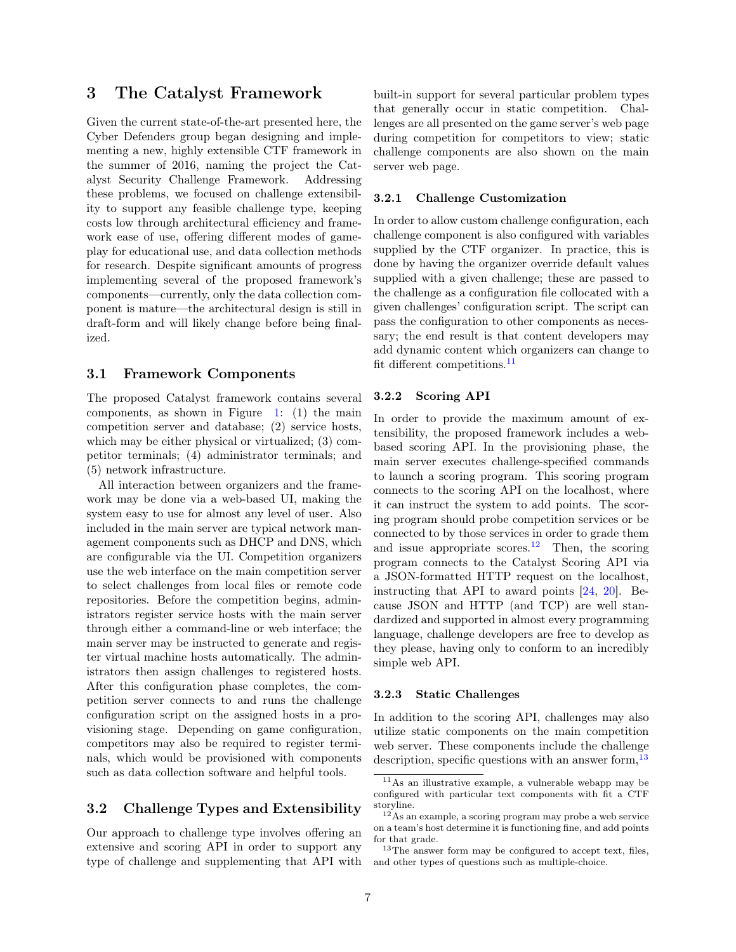## 3 The Catalyst Framework

Given the current state-of-the-art presented here, the Cyber Defenders group began designing and implementing a new, highly extensible CTF framework in the summer of 2016, naming the project the Catalyst Security Challenge Framework. Addressing these problems, we focused on challenge extensibility to support any feasible challenge type, keeping costs low through architectural efficiency and framework ease of use, offering different modes of gameplay for educational use, and data collection methods for research. Despite significant amounts of progress implementing several of the proposed framework's components—currently, only the data collection component is mature—the architectural design is still in draft-form and will likely change before being finalized.

#### 3.1 Framework Components

The proposed Catalyst framework contains several components, as shown in Figure [1:](#page-7-0) (1) the main competition server and database; (2) service hosts, which may be either physical or virtualized; (3) competitor terminals; (4) administrator terminals; and (5) network infrastructure.

All interaction between organizers and the framework may be done via a web-based UI, making the system easy to use for almost any level of user. Also included in the main server are typical network management components such as DHCP and DNS, which are configurable via the UI. Competition organizers use the web interface on the main competition server to select challenges from local files or remote code repositories. Before the competition begins, administrators register service hosts with the main server through either a command-line or web interface; the main server may be instructed to generate and register virtual machine hosts automatically. The administrators then assign challenges to registered hosts. After this configuration phase completes, the competition server connects to and runs the challenge configuration script on the assigned hosts in a provisioning stage. Depending on game configuration, competitors may also be required to register terminals, which would be provisioned with components such as data collection software and helpful tools.

### 3.2 Challenge Types and Extensibility

Our approach to challenge type involves offering an extensive and scoring API in order to support any type of challenge and supplementing that API with built-in support for several particular problem types that generally occur in static competition. Challenges are all presented on the game server's web page during competition for competitors to view; static challenge components are also shown on the main server web page.

#### <span id="page-6-3"></span>3.2.1 Challenge Customization

In order to allow custom challenge configuration, each challenge component is also configured with variables supplied by the CTF organizer. In practice, this is done by having the organizer override default values supplied with a given challenge; these are passed to the challenge as a configuration file collocated with a given challenges' configuration script. The script can pass the configuration to other components as necessary; the end result is that content developers may add dynamic content which organizers can change to fit different competitions.<sup>[11](#page-6-0)</sup>

#### 3.2.2 Scoring API

In order to provide the maximum amount of extensibility, the proposed framework includes a webbased scoring API. In the provisioning phase, the main server executes challenge-specified commands to launch a scoring program. This scoring program connects to the scoring API on the localhost, where it can instruct the system to add points. The scoring program should probe competition services or be connected to by those services in order to grade them and issue appropriate scores.<sup>[12](#page-6-1)</sup> Then, the scoring program connects to the Catalyst Scoring API via a JSON-formatted HTTP request on the localhost, instructing that API to award points [\[24,](#page-9-35) [20\]](#page-9-36). Because JSON and HTTP (and TCP) are well standardized and supported in almost every programming language, challenge developers are free to develop as they please, having only to conform to an incredibly simple web API.

#### 3.2.3 Static Challenges

In addition to the scoring API, challenges may also utilize static components on the main competition web server. These components include the challenge description, specific questions with an answer form,<sup>[13](#page-6-2)</sup>

<span id="page-6-0"></span><sup>11</sup>As an illustrative example, a vulnerable webapp may be configured with particular text components with fit a CTF storyline.

<span id="page-6-1"></span> $12\text{As}$  an example, a scoring program may probe a web service on a team's host determine it is functioning fine, and add points for that grade.

<span id="page-6-2"></span> $13$ The answer form may be configured to accept text, files, and other types of questions such as multiple-choice.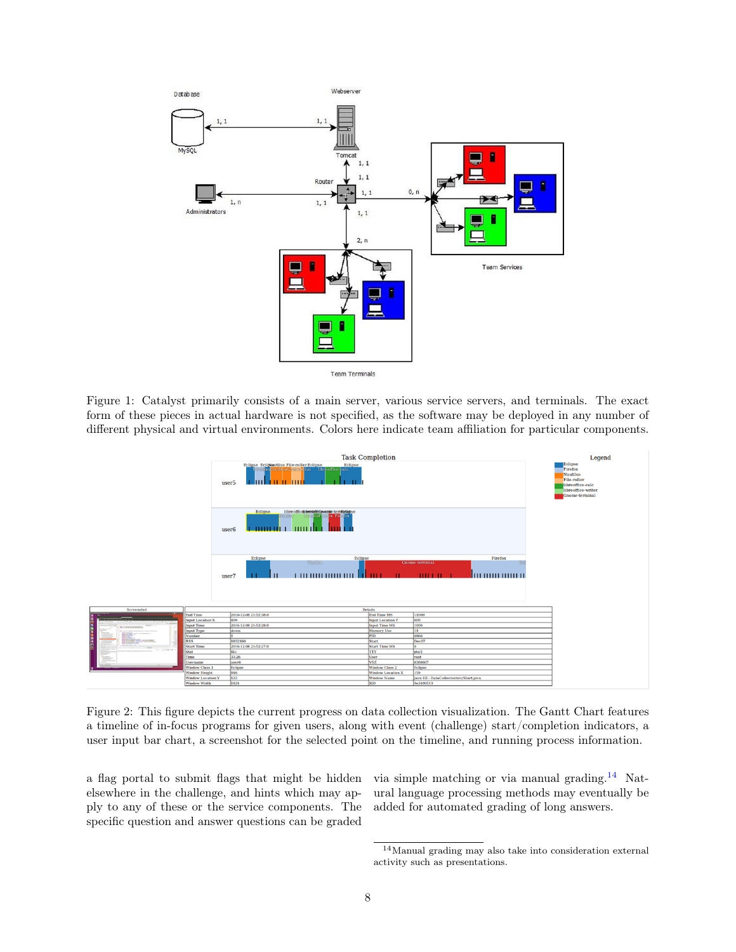

<span id="page-7-0"></span>Figure 1: Catalyst primarily consists of a main server, various service servers, and terminals. The exact form of these pieces in actual hardware is not specified, as the software may be deployed in any number of different physical and virtual environments. Colors here indicate team affiliation for particular components.



<span id="page-7-2"></span>Figure 2: This figure depicts the current progress on data collection visualization. The Gantt Chart features a timeline of in-focus programs for given users, along with event (challenge) start/completion indicators, a user input bar chart, a screenshot for the selected point on the timeline, and running process information.

a flag portal to submit flags that might be hidden elsewhere in the challenge, and hints which may apply to any of these or the service components. The specific question and answer questions can be graded

via simple matching or via manual grading.[14](#page-7-1) Natural language processing methods may eventually be added for automated grading of long answers.

<span id="page-7-1"></span><sup>14</sup>Manual grading may also take into consideration external activity such as presentations.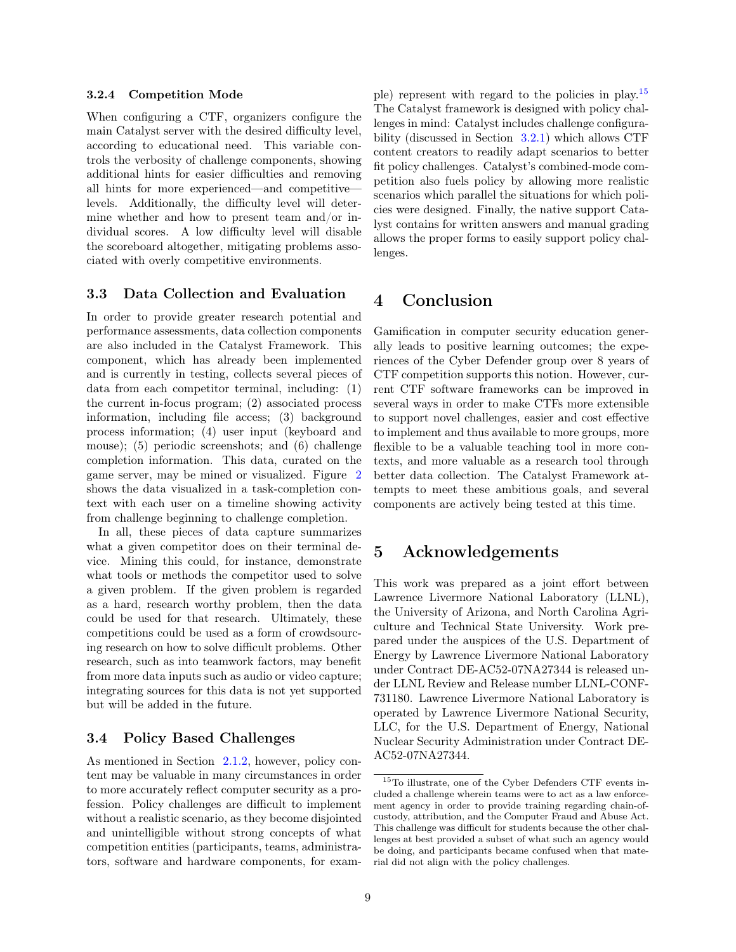#### 3.2.4 Competition Mode

When configuring a CTF, organizers configure the main Catalyst server with the desired difficulty level, according to educational need. This variable controls the verbosity of challenge components, showing additional hints for easier difficulties and removing all hints for more experienced—and competitive levels. Additionally, the difficulty level will determine whether and how to present team and/or individual scores. A low difficulty level will disable the scoreboard altogether, mitigating problems associated with overly competitive environments.

### 3.3 Data Collection and Evaluation

In order to provide greater research potential and performance assessments, data collection components are also included in the Catalyst Framework. This component, which has already been implemented and is currently in testing, collects several pieces of data from each competitor terminal, including: (1) the current in-focus program; (2) associated process information, including file access; (3) background process information; (4) user input (keyboard and mouse); (5) periodic screenshots; and (6) challenge completion information. This data, curated on the game server, may be mined or visualized. Figure [2](#page-7-2) shows the data visualized in a task-completion context with each user on a timeline showing activity from challenge beginning to challenge completion.

In all, these pieces of data capture summarizes what a given competitor does on their terminal device. Mining this could, for instance, demonstrate what tools or methods the competitor used to solve a given problem. If the given problem is regarded as a hard, research worthy problem, then the data could be used for that research. Ultimately, these competitions could be used as a form of crowdsourcing research on how to solve difficult problems. Other research, such as into teamwork factors, may benefit from more data inputs such as audio or video capture; integrating sources for this data is not yet supported but will be added in the future.

### 3.4 Policy Based Challenges

As mentioned in Section [2.1.2,](#page-3-3) however, policy content may be valuable in many circumstances in order to more accurately reflect computer security as a profession. Policy challenges are difficult to implement without a realistic scenario, as they become disjointed and unintelligible without strong concepts of what competition entities (participants, teams, administrators, software and hardware components, for example) represent with regard to the policies in play.[15](#page-8-0) The Catalyst framework is designed with policy challenges in mind: Catalyst includes challenge configurability (discussed in Section [3.2.1\)](#page-6-3) which allows CTF content creators to readily adapt scenarios to better fit policy challenges. Catalyst's combined-mode competition also fuels policy by allowing more realistic scenarios which parallel the situations for which policies were designed. Finally, the native support Catalyst contains for written answers and manual grading allows the proper forms to easily support policy challenges.

## 4 Conclusion

Gamification in computer security education generally leads to positive learning outcomes; the experiences of the Cyber Defender group over 8 years of CTF competition supports this notion. However, current CTF software frameworks can be improved in several ways in order to make CTFs more extensible to support novel challenges, easier and cost effective to implement and thus available to more groups, more flexible to be a valuable teaching tool in more contexts, and more valuable as a research tool through better data collection. The Catalyst Framework attempts to meet these ambitious goals, and several components are actively being tested at this time.

### 5 Acknowledgements

This work was prepared as a joint effort between Lawrence Livermore National Laboratory (LLNL), the University of Arizona, and North Carolina Agriculture and Technical State University. Work prepared under the auspices of the U.S. Department of Energy by Lawrence Livermore National Laboratory under Contract DE-AC52-07NA27344 is released under LLNL Review and Release number LLNL-CONF-731180. Lawrence Livermore National Laboratory is operated by Lawrence Livermore National Security, LLC, for the U.S. Department of Energy, National Nuclear Security Administration under Contract DE-AC52-07NA27344.

<span id="page-8-0"></span><sup>15</sup>To illustrate, one of the Cyber Defenders CTF events included a challenge wherein teams were to act as a law enforcement agency in order to provide training regarding chain-ofcustody, attribution, and the Computer Fraud and Abuse Act. This challenge was difficult for students because the other challenges at best provided a subset of what such an agency would be doing, and participants became confused when that material did not align with the policy challenges.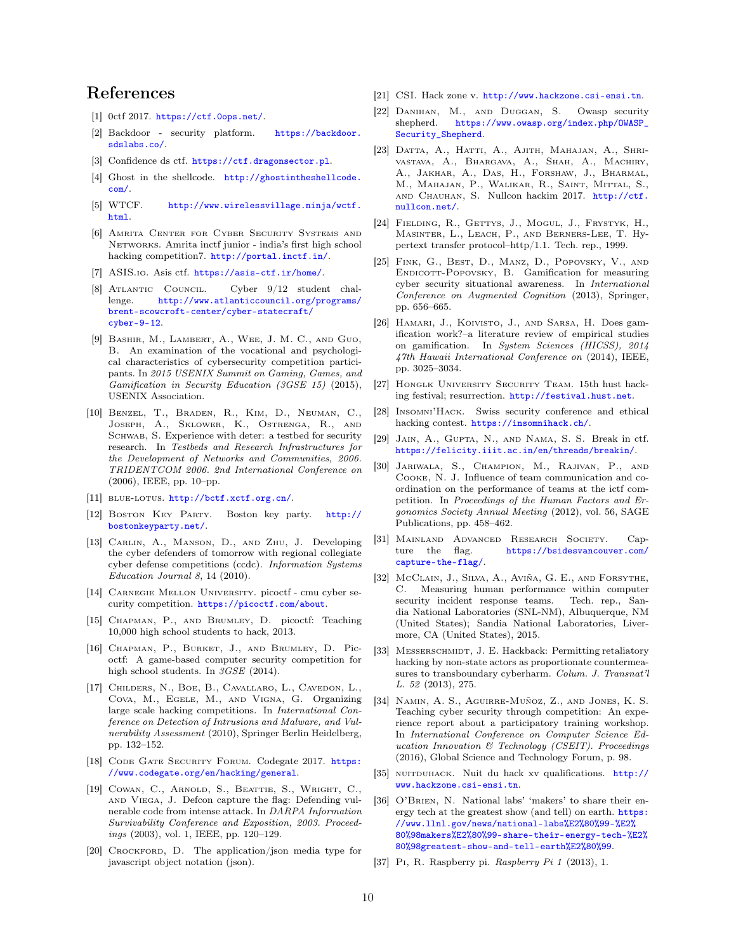## References

- <span id="page-9-14"></span>[1] 0ctf 2017. <https://ctf.0ops.net/>.
- <span id="page-9-13"></span>[2] Backdoor - security platform. [https://backdoor.](https://backdoor.sdslabs.co/) [sdslabs.co/](https://backdoor.sdslabs.co/).
- <span id="page-9-10"></span>[3] Confidence ds ctf. <https://ctf.dragonsector.pl>.
- <span id="page-9-22"></span>[4] Ghost in the shellcode. [http://ghostintheshellcode.](http://ghostintheshellcode.com/) [com/](http://ghostintheshellcode.com/).
- <span id="page-9-21"></span>[5] WTCF. [http://www.wirelessvillage.ninja/wctf.](http://www.wirelessvillage.ninja/wctf.html) [html](http://www.wirelessvillage.ninja/wctf.html).
- <span id="page-9-18"></span>[6] Amrita Center for Cyber Security Systems and Networks. Amrita inctf junior - india's first high school hacking competition7. <http://portal.inctf.in/>.
- <span id="page-9-9"></span>[7] ASIS.io. Asis ctf. <https://asis-ctf.ir/home/>.
- <span id="page-9-26"></span>[8] Atlantic Council. Cyber 9/12 student challenge. [http://www.atlanticcouncil.org/programs/](http://www.atlanticcouncil.org/programs/brent-scowcroft-center/cyber-statecraft/cyber-9-12) [brent-scowcroft-center/cyber-statecraft/](http://www.atlanticcouncil.org/programs/brent-scowcroft-center/cyber-statecraft/cyber-9-12) [cyber-9-12](http://www.atlanticcouncil.org/programs/brent-scowcroft-center/cyber-statecraft/cyber-9-12).
- <span id="page-9-31"></span>[9] Bashir, M., Lambert, A., Wee, J. M. C., and Guo, B. An examination of the vocational and psychological characteristics of cybersecurity competition participants. In 2015 USENIX Summit on Gaming, Games, and Gamification in Security Education (3GSE 15) (2015), USENIX Association.
- <span id="page-9-34"></span>[10] Benzel, T., Braden, R., Kim, D., Neuman, C., Joseph, A., Sklower, K., Ostrenga, R., and SCHWAB, S. Experience with deter: a testbed for security research. In Testbeds and Research Infrastructures for the Development of Networks and Communities, 2006. TRIDENTCOM 2006. 2nd International Conference on (2006), IEEE, pp. 10–pp.
- <span id="page-9-15"></span>[11] BLUE-LOTUS. <http://bctf.xctf.org.cn/>.
- <span id="page-9-19"></span>[12] Boston Key Party. Boston key party. [http://](http://bostonkeyparty.net/) [bostonkeyparty.net/](http://bostonkeyparty.net/).
- <span id="page-9-7"></span>[13] Carlin, A., Manson, D., and Zhu, J. Developing the cyber defenders of tomorrow with regional collegiate cyber defense competitions (ccdc). Information Systems Education Journal 8, 14 (2010).
- <span id="page-9-29"></span>[14] Carnegie Mellon University. picoctf - cmu cyber security competition. <https://picoctf.com/about>.
- <span id="page-9-30"></span>[15] Chapman, P., and Brumley, D. picoctf: Teaching 10,000 high school students to hack, 2013.
- <span id="page-9-3"></span>[16] Chapman, P., Burket, J., and Brumley, D. Picoctf: A game-based computer security competition for high school students. In 3GSE (2014).
- <span id="page-9-6"></span>[17] Childers, N., Boe, B., Cavallaro, L., Cavedon, L., Cova, M., Egele, M., and Vigna, G. Organizing large scale hacking competitions. In International Conference on Detection of Intrusions and Malware, and Vulnerability Assessment (2010), Springer Berlin Heidelberg, pp. 132–152.
- <span id="page-9-17"></span>[18] CODE GATE SECURITY FORUM. Codegate 2017. [https:](https://www.codegate.org/en/hacking/general) [//www.codegate.org/en/hacking/general](https://www.codegate.org/en/hacking/general).
- <span id="page-9-5"></span>[19] Cowan, C., Arnold, S., Beattie, S., Wright, C., and Viega, J. Defcon capture the flag: Defending vulnerable code from intense attack. In DARPA Information Survivability Conference and Exposition, 2003. Proceedings (2003), vol. 1, IEEE, pp. 120–129.
- <span id="page-9-36"></span>[20] CROCKFORD, D. The application/json media type for javascript object notation (json).
- <span id="page-9-11"></span>[21] CSI. Hack zone v. <http://www.hackzone.csi-ensi.tn>.
- <span id="page-9-24"></span>[22] Danihan, M., and Duggan, S. Owasp security shepherd. [https://www.owasp.org/index.php/OWASP\\_](https://www.owasp.org/index.php/OWASP_Security_Shepherd) [Security\\_Shepherd](https://www.owasp.org/index.php/OWASP_Security_Shepherd).
- <span id="page-9-25"></span>[23] Datta, A., Hatti, A., Ajith, Mahajan, A., Shrivastava, A., Bhargava, A., Shah, A., Machiry, A., Jakhar, A., Das, H., Forshaw, J., Bharmal, M., Mahajan, P., Walikar, R., Saint, Mittal, S., AND CHAUHAN, S. Nullcon hackim 2017. [http://ctf.](http://ctf.nullcon.net/) [nullcon.net/](http://ctf.nullcon.net/).
- <span id="page-9-35"></span>[24] Fielding, R., Gettys, J., Mogul, J., Frystyk, H., Masinter, L., Leach, P., and Berners-Lee, T. Hypertext transfer protocol–http/1.1. Tech. rep., 1999.
- <span id="page-9-33"></span>[25] Fink, G., Best, D., Manz, D., Popovsky, V., and ENDICOTT-POPOVSKY, B. Gamification for measuring cyber security situational awareness. In International Conference on Augmented Cognition (2013), Springer, pp. 656–665.
- <span id="page-9-0"></span>[26] Hamari, J., Koivisto, J., and Sarsa, H. Does gamification work?–a literature review of empirical studies on gamification. In System Sciences (HICSS), 2014 47th Hawaii International Conference on (2014), IEEE, pp. 3025–3034.
- <span id="page-9-8"></span>[27] Honglk University Security Team. 15th hust hacking festival; resurrection. <http://festival.hust.net>.
- <span id="page-9-23"></span>[28] Insomni'Hack. Swiss security conference and ethical hacking contest. <https://insomnihack.ch/>.
- <span id="page-9-20"></span>[29] Jain, A., Gupta, N., and Nama, S. S. Break in ctf. <https://felicity.iiit.ac.in/en/threads/breakin/>.
- <span id="page-9-32"></span>[30] Jariwala, S., Champion, M., Rajivan, P., and Cooke, N. J. Influence of team communication and coordination on the performance of teams at the ictf competition. In Proceedings of the Human Factors and Ergonomics Society Annual Meeting (2012), vol. 56, SAGE Publications, pp. 458–462.
- <span id="page-9-16"></span>[31] Mainland Advanced Research Society. Capture the flag. [https://bsidesvancouver.com/](https://bsidesvancouver.com/capture-the-flag/) [capture-the-flag/](https://bsidesvancouver.com/capture-the-flag/).
- <span id="page-9-1"></span>[32] McClain, J., Silva, A., Aviña, G. E., and Forsythe, C. Measuring human performance within computer security incident response teams. Tech. rep., Sandia National Laboratories (SNL-NM), Albuquerque, NM (United States); Sandia National Laboratories, Livermore, CA (United States), 2015.
- <span id="page-9-27"></span>[33] MESSERSCHMIDT, J. E. Hackback: Permitting retaliatory hacking by non-state actors as proportionate countermeasures to transboundary cyberharm. Colum. J. Transnat'l L. 52 (2013), 275.
- <span id="page-9-2"></span>[34] Namin, A. S., Aguirre-Muñoz, Z., and Jones, K. S. Teaching cyber security through competition: An experience report about a participatory training workshop. In International Conference on Computer Science Education Innovation & Technology (CSEIT). Proceedings (2016), Global Science and Technology Forum, p. 98.
- <span id="page-9-12"></span>[35] NUITDUHACK. Nuit du hack xv qualifications. [http://](http://www.hackzone.csi-ensi.tn) [www.hackzone.csi-ensi.tn](http://www.hackzone.csi-ensi.tn).
- <span id="page-9-4"></span>[36] O'Brien, N. National labs' 'makers' to share their energy tech at the greatest show (and tell) on earth. [https:](https://www.llnl.gov/news/national-labs%E2%80%99-%E2%80%98makers%E2%80%99-share-their-energy-tech-%E2%80%98greatest-show-and-tell-earth%E2%80%99) [//www.llnl.gov/news/national-labs%E2%80%99-%E2%](https://www.llnl.gov/news/national-labs%E2%80%99-%E2%80%98makers%E2%80%99-share-their-energy-tech-%E2%80%98greatest-show-and-tell-earth%E2%80%99) [80%98makers%E2%80%99-share-their-energy-tech-%E2%](https://www.llnl.gov/news/national-labs%E2%80%99-%E2%80%98makers%E2%80%99-share-their-energy-tech-%E2%80%98greatest-show-and-tell-earth%E2%80%99) [80%98greatest-show-and-tell-earth%E2%80%99](https://www.llnl.gov/news/national-labs%E2%80%99-%E2%80%98makers%E2%80%99-share-their-energy-tech-%E2%80%98greatest-show-and-tell-earth%E2%80%99).
- <span id="page-9-28"></span>[37] Pi, R. Raspberry pi. Raspberry Pi 1 (2013), 1.